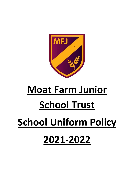

# **Moat Farm Junior School Trust School Uniform Policy 2021-2022**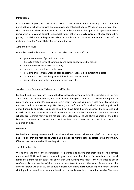#### Introduction

It is our school policy that all children wear school uniform when attending school, or when participating in school-organised events outside normal school hours. We ask children to wear their shirts tucked into their skirts or trousers and to take a pride in their personal appearance. Some items of uniform can be bought from school, whilst others are easily available, at very competitive prices, at local shops including supermarkets. A complete list of the items needed for school uniform including those for Physical Education, is printed below.

#### Aims and objectives

Our policy on school uniform is based on the belief that school uniform:

- promotes a sense of pride in our school;
- helps to create a sense of community and belonging towards the school;
- identifies the children with the school;
- supports our commitment to inclusion;
- prevents children from wearing 'fashion clothes' that could be distracting in class;
- is practical, smart and designed with health and safety in mind;
- is considered good value for money by most parents;

#### Jewellery, Hair Ornaments, Make-up and Nail Varnish

For health and safety reasons we do not allow children to wear jewellery. The exceptions to this rule are ear-ring studs in pierced ears, and small objects of religious significance. Children are required to remove any items during PE lessons to prevent them from causing injury. Please note: Teachers are not permitted to remove earrings. Hair bands, ribbons/bows or 'scrunchies' should be plain and either burgundy or black. Hair bands should not have large flowers attached. Make up and nail varnish should not be worn to school unless for an out of school hours function, for example a school disco. Extreme hairstyles are not appropriate for school. The use of styling products should be kept to a minimum and children should not have decorative patterns cut into their hair or have hair coloured or dyed.

#### **Footwear**

For health and safety reasons we do not allow children to wear shoes with platform soles or high heels. All children are required to wear plain black shoes without logos as stated in the uniform list. If boots are worn these should also be plain black.

#### The Role of Parents

We believe that one of the responsibilities of parents is to ensure that their child has the correct uniform and PE kit, and that it is clean, in good repair and that the child's name is written on all items. If a parent has difficulties for any reason with fulfilling this request they are asked to speak confidentially to a member of the schools pastoral team to discuss the issues. Parents should be assured that we will do all we can to help. Children who arrive at school wearing non-school uniform clothing will be loaned an appropriate item from our nearly new shop to wear for that day. The same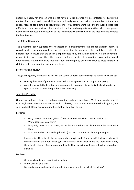system will apply for children who do not have a PE kit. Parents will be contacted to discuss the matter. The school welcomes children from all backgrounds and faith communities. If there are serious reasons, for example on religious grounds, why parents want their child to wear clothes that differ from the school uniform, the school will consider such requests sympathetically. If any parent would like to request a modification to the uniform policy they should, in the first instance, contact the headteacher.

## The Role of Governors

The governing body supports the headteacher in implementing the school uniform policy. It considers all representations from parents regarding the uniform policy and liaises with the headteacher to ensure that the policy is implemented fairly and with sensitivity. It is the governors' responsibility to ensure that the school uniform meets all regulations concerning equal opportunities. Governors ensure that the school uniform policy enables children to dress sensibly, in clothing that is hardwearing, safe and practical.

## Monitoring and Review

The governing body monitors and reviews the school uniform policy through its committee work by:

- seeking the views of parents, to ensure that they agree with and support the policy;
- considering, with the headteacher, any requests from parents for individual children to have special dispensation with regard to school uniform;

## School Uniform List

Our school uniform colour is a combination of burgundy and grey/black. Most items can be bought from High Street shops. Items marked with a \* below, some of which have the school logo on, are sold in school. Please speak to our office staff for details of prices.

For girls:

- Grey skirt/pinafore dress/shorts/trousers or red and white checked or dresses;
- White blouse or polo shirt\*;
- burgundy sweatshirt\* or cardigan\*, without a hood, either plain or with the Moat Farm logo;
- Plain white short or knee length socks (not over the knee) or black or grey tights.

Please note skirts should be an appropriate length and of a style which allows girls to sit comfortably on the floor. When girls wear shorts, even when these are worn over tights, they should also be of an appropriate length. Three-quarter, calf length, leggings should not be worn.

## For boys:

- Grey shorts or trousers not jogging bottoms;
- White shirt or polo shirt\*;
- Burgundy sweatshirt, without a hood, either plain or with the Moat Farm logo\*;